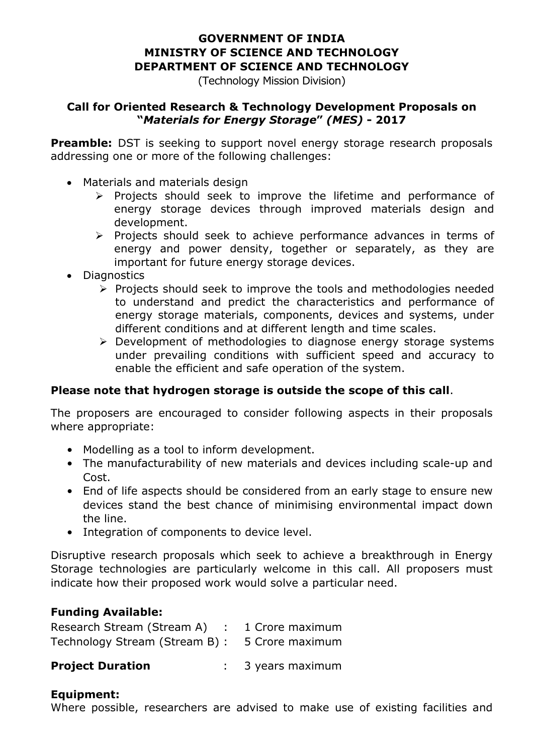# **GOVERNMENT OF INDIA MINISTRY OF SCIENCE AND TECHNOLOGY DEPARTMENT OF SCIENCE AND TECHNOLOGY**

(Technology Mission Division)

#### **Call for Oriented Research & Technology Development Proposals on "***Materials for Energy Storage***"** *(MES)* **- 2017**

**Preamble:** DST is seeking to support novel energy storage research proposals addressing one or more of the following challenges:

- Materials and materials design
	- $\triangleright$  Projects should seek to improve the lifetime and performance of energy storage devices through improved materials design and development.
	- $\triangleright$  Projects should seek to achieve performance advances in terms of energy and power density, together or separately, as they are important for future energy storage devices.
- Diagnostics
	- $\triangleright$  Projects should seek to improve the tools and methodologies needed to understand and predict the characteristics and performance of energy storage materials, components, devices and systems, under different conditions and at different length and time scales.
	- $\triangleright$  Development of methodologies to diagnose energy storage systems under prevailing conditions with sufficient speed and accuracy to enable the efficient and safe operation of the system.

## **Please note that hydrogen storage is outside the scope of this call**.

The proposers are encouraged to consider following aspects in their proposals where appropriate:

- Modelling as a tool to inform development.
- The manufacturability of new materials and devices including scale-up and Cost.
- End of life aspects should be considered from an early stage to ensure new devices stand the best chance of minimising environmental impact down the line.
- Integration of components to device level.

Disruptive research proposals which seek to achieve a breakthrough in Energy Storage technologies are particularly welcome in this call. All proposers must indicate how their proposed work would solve a particular need.

## **Funding Available:**

| Research Stream (Stream A) : 1 Crore maximum   |  |
|------------------------------------------------|--|
| Technology Stream (Stream B) : 5 Crore maximum |  |

| <b>Project Duration</b> | 3 years maximum |
|-------------------------|-----------------|
|-------------------------|-----------------|

## **Equipment:**

Where possible, researchers are advised to make use of existing facilities and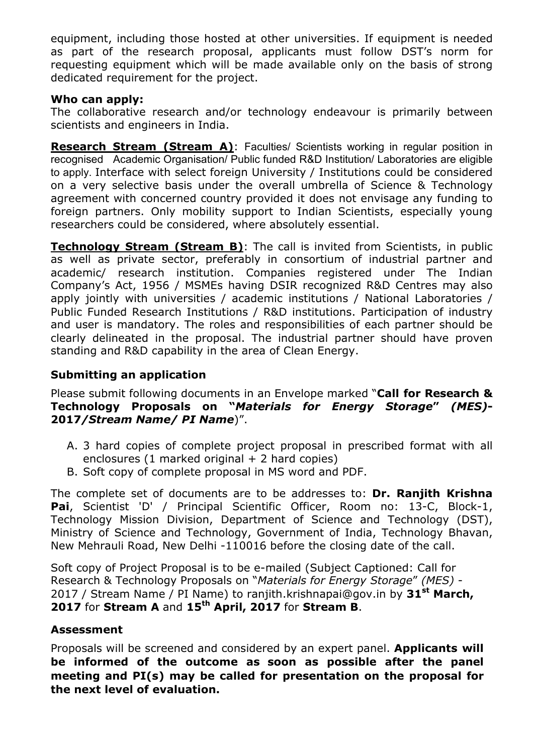equipment, including those hosted at other universities. If equipment is needed as part of the research proposal, applicants must follow DST's norm for requesting equipment which will be made available only on the basis of strong dedicated requirement for the project.

#### **Who can apply:**

The collaborative research and/or technology endeavour is primarily between scientists and engineers in India.

**Research Stream (Stream A)**: Faculties/ Scientists working in regular position in recognised Academic Organisation/ Public funded R&D Institution/ Laboratories are eligible to apply. Interface with select foreign University / Institutions could be considered on a very selective basis under the overall umbrella of Science & Technology agreement with concerned country provided it does not envisage any funding to foreign partners. Only mobility support to Indian Scientists, especially young researchers could be considered, where absolutely essential.

**Technology Stream (Stream B)**: The call is invited from Scientists, in public as well as private sector, preferably in consortium of industrial partner and academic/ research institution. Companies registered under The Indian Company's Act, 1956 / MSMEs having DSIR recognized R&D Centres may also apply jointly with universities / academic institutions / National Laboratories / Public Funded Research Institutions / R&D institutions. Participation of industry and user is mandatory. The roles and responsibilities of each partner should be clearly delineated in the proposal. The industrial partner should have proven standing and R&D capability in the area of Clean Energy.

## **Submitting an application**

Please submit following documents in an Envelope marked "**Call for Research & Technology Proposals on "***Materials for Energy Storage***"** *(MES)***- 2017***/Stream Name/ PI Name*)".

- A. 3 hard copies of complete project proposal in prescribed format with all enclosures (1 marked original  $+$  2 hard copies)
- B. Soft copy of complete proposal in MS word and PDF.

The complete set of documents are to be addresses to: **Dr. Ranjith Krishna Pai**, Scientist 'D' / Principal Scientific Officer, Room no: 13-C, Block-1, Technology Mission Division, Department of Science and Technology (DST), Ministry of Science and Technology, Government of India, Technology Bhavan, New Mehrauli Road, New Delhi -110016 before the closing date of the call.

Soft copy of Project Proposal is to be e-mailed (Subject Captioned: Call for Research & Technology Proposals on "*Materials for Energy Storage*" *(MES)* - 2017 / Stream Name / PI Name) to ranjith.krishnapai@gov.in by **31st March, 2017** for **Stream A** and **15th April, 2017** for **Stream B**.

## **Assessment**

Proposals will be screened and considered by an expert panel. **Applicants will be informed of the outcome as soon as possible after the panel meeting and PI(s) may be called for presentation on the proposal for the next level of evaluation.**